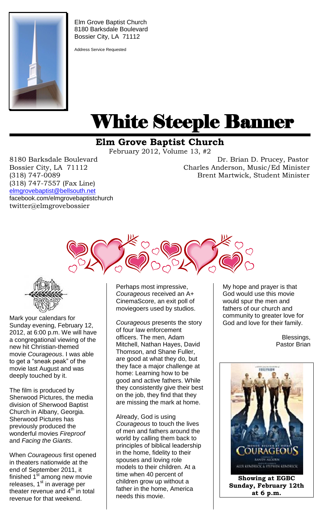

Elm Grove Baptist Church 8180 Barksdale Boulevard Bossier City, LA 71112

Address Service Requested

# White Steeple Banner ı

## **Elm Grove Baptist Church**

February 2012, Volume 13, #2

(318) 747-7557 (Fax Line) [elmgrovebaptist@bellsouth.net](mailto:elmgrovebaptist@bellsouth.net) facebook.com/elmgrovebaptistchurch twitter@elmgrovebossier

8180 Barksdale Boulevard Dr. Brian D. Prucey, Pastor Bossier City, LA 71112 Charles Anderson, Music/Ed Minister (318) 747-0089 Brent Martwick, Student Minister



ţ

Mark your calendars for Sunday evening, February 12, 2012, at 6:00 p.m. We will have a congregational viewing of the new hit Christian-themed movie *Courageous*. I was able to get a "sneak peak" of the movie last August and was deeply touched by it.

The film is produced by Sherwood Pictures, the media division of Sherwood Baptist Church in Albany, Georgia. Sherwood Pictures has previously produced the wonderful movies *Fireproof*  and *Facing the Giants*.

When *Courageous* first opened in theaters nationwide at the end of September 2011, it finished  $1<sup>st</sup>$  among new movie releases, 1<sup>st</sup> in average per theater revenue and  $\tilde{4}^{\text{th}}$  in total revenue for that weekend.

Perhaps most impressive, *Courageous* received an A+ CinemaScore, an exit poll of moviegoers used by studios.

*Courageous* presents the story of four law enforcement officers. The men, Adam Mitchell, Nathan Hayes, David Thomson, and Shane Fuller, are good at what they do, but they face a major challenge at home: Learning how to be good and active fathers. While they consistently give their best on the job, they find that they are missing the mark at home.

Already, God is using *Courageous* to touch the lives of men and fathers around the world by calling them back to principles of biblical leadership in the home, fidelity to their spouses and loving role models to their children. At a time when 40 percent of children grow up without a father in the home, America needs this movie.

My hope and prayer is that God would use this movie would spur the men and fathers of our church and community to greater love for God and love for their family.

> Blessings, Pastor Brian

HEFRON /RAGEO **EASTIN ATOUM N** ALLY KUNDELCK & STEPHEN KUNDELCK **Showing at EGBC**

**Sunday, February 12th at 6 p.m.**